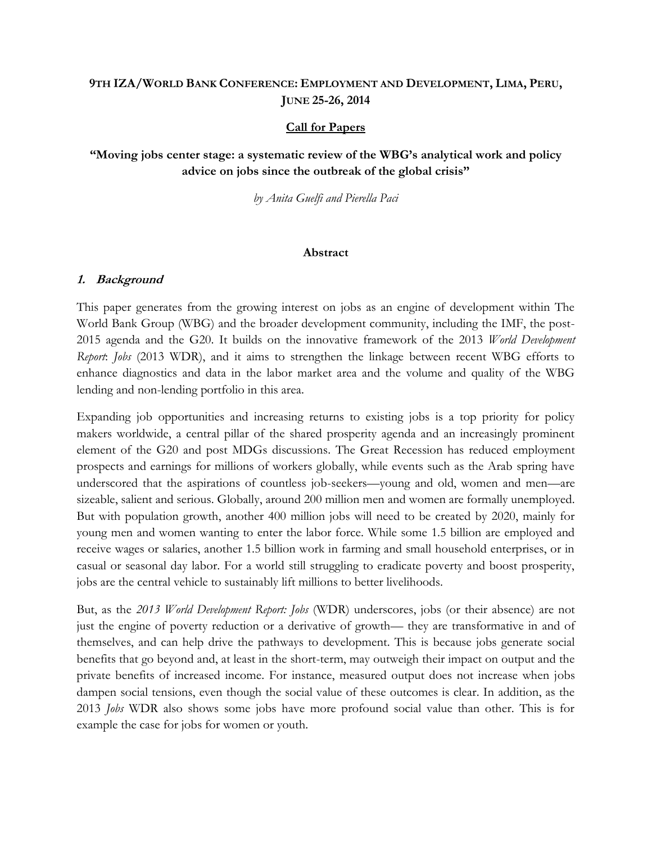## **9TH IZA/WORLD BANK CONFERENCE: EMPLOYMENT AND DEVELOPMENT, LIMA, PERU, JUNE 25-26, 2014**

### **Call for Papers**

## **"Moving jobs center stage: a systematic review of the WBG's analytical work and policy advice on jobs since the outbreak of the global crisis"**

*by Anita Guelfi and Pierella Paci*

#### **Abstract**

### **1. Background**

This paper generates from the growing interest on jobs as an engine of development within The World Bank Group (WBG) and the broader development community, including the IMF, the post-2015 agenda and the G20. It builds on the innovative framework of the 2013 *World Development Report*: *Jobs* (2013 WDR), and it aims to strengthen the linkage between recent WBG efforts to enhance diagnostics and data in the labor market area and the volume and quality of the WBG lending and non-lending portfolio in this area.

Expanding job opportunities and increasing returns to existing jobs is a top priority for policy makers worldwide, a central pillar of the shared prosperity agenda and an increasingly prominent element of the G20 and post MDGs discussions. The Great Recession has reduced employment prospects and earnings for millions of workers globally, while events such as the Arab spring have underscored that the aspirations of countless job-seekers—young and old, women and men—are sizeable, salient and serious. Globally, around 200 million men and women are formally unemployed. But with population growth, another 400 million jobs will need to be created by 2020, mainly for young men and women wanting to enter the labor force. While some 1.5 billion are employed and receive wages or salaries, another 1.5 billion work in farming and small household enterprises, or in casual or seasonal day labor. For a world still struggling to eradicate poverty and boost prosperity, jobs are the central vehicle to sustainably lift millions to better livelihoods.

But, as the *2013 World Development Report: Jobs* (WDR) underscores, jobs (or their absence) are not just the engine of poverty reduction or a derivative of growth— they are transformative in and of themselves, and can help drive the pathways to development. This is because jobs generate social benefits that go beyond and, at least in the short-term, may outweigh their impact on output and the private benefits of increased income. For instance, measured output does not increase when jobs dampen social tensions, even though the social value of these outcomes is clear. In addition, as the 2013 *Jobs* WDR also shows some jobs have more profound social value than other. This is for example the case for jobs for women or youth.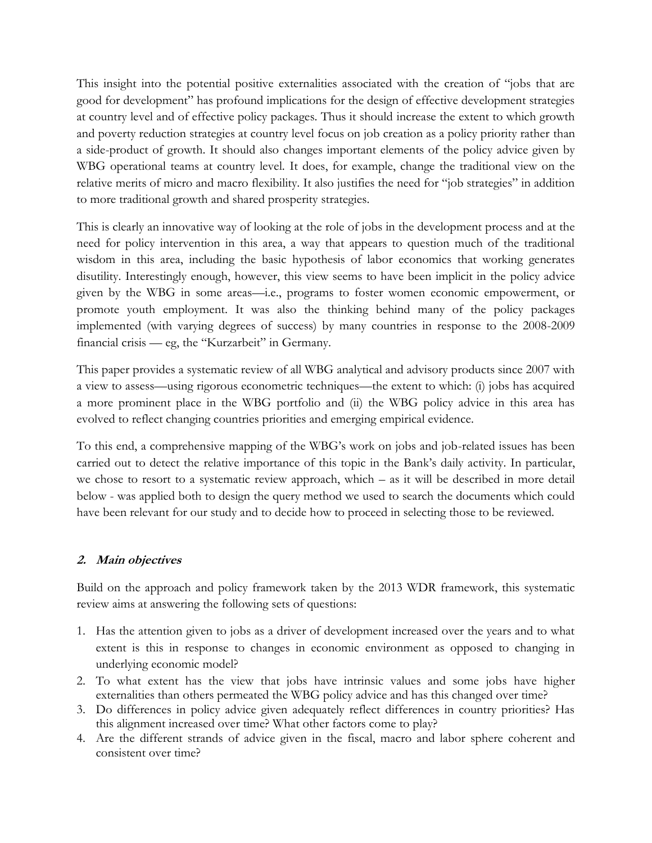This insight into the potential positive externalities associated with the creation of "jobs that are good for development" has profound implications for the design of effective development strategies at country level and of effective policy packages. Thus it should increase the extent to which growth and poverty reduction strategies at country level focus on job creation as a policy priority rather than a side-product of growth. It should also changes important elements of the policy advice given by WBG operational teams at country level. It does, for example, change the traditional view on the relative merits of micro and macro flexibility. It also justifies the need for "job strategies" in addition to more traditional growth and shared prosperity strategies.

This is clearly an innovative way of looking at the role of jobs in the development process and at the need for policy intervention in this area, a way that appears to question much of the traditional wisdom in this area, including the basic hypothesis of labor economics that working generates disutility. Interestingly enough, however, this view seems to have been implicit in the policy advice given by the WBG in some areas—i.e., programs to foster women economic empowerment, or promote youth employment. It was also the thinking behind many of the policy packages implemented (with varying degrees of success) by many countries in response to the 2008-2009 financial crisis — eg, the "Kurzarbeit" in Germany.

This paper provides a systematic review of all WBG analytical and advisory products since 2007 with a view to assess—using rigorous econometric techniques—the extent to which: (i) jobs has acquired a more prominent place in the WBG portfolio and (ii) the WBG policy advice in this area has evolved to reflect changing countries priorities and emerging empirical evidence.

To this end, a comprehensive mapping of the WBG's work on jobs and job-related issues has been carried out to detect the relative importance of this topic in the Bank's daily activity. In particular, we chose to resort to a systematic review approach, which – as it will be described in more detail below - was applied both to design the query method we used to search the documents which could have been relevant for our study and to decide how to proceed in selecting those to be reviewed.

### **2. Main objectives**

Build on the approach and policy framework taken by the 2013 WDR framework, this systematic review aims at answering the following sets of questions:

- 1. Has the attention given to jobs as a driver of development increased over the years and to what extent is this in response to changes in economic environment as opposed to changing in underlying economic model?
- 2. To what extent has the view that jobs have intrinsic values and some jobs have higher externalities than others permeated the WBG policy advice and has this changed over time?
- 3. Do differences in policy advice given adequately reflect differences in country priorities? Has this alignment increased over time? What other factors come to play?
- 4. Are the different strands of advice given in the fiscal, macro and labor sphere coherent and consistent over time?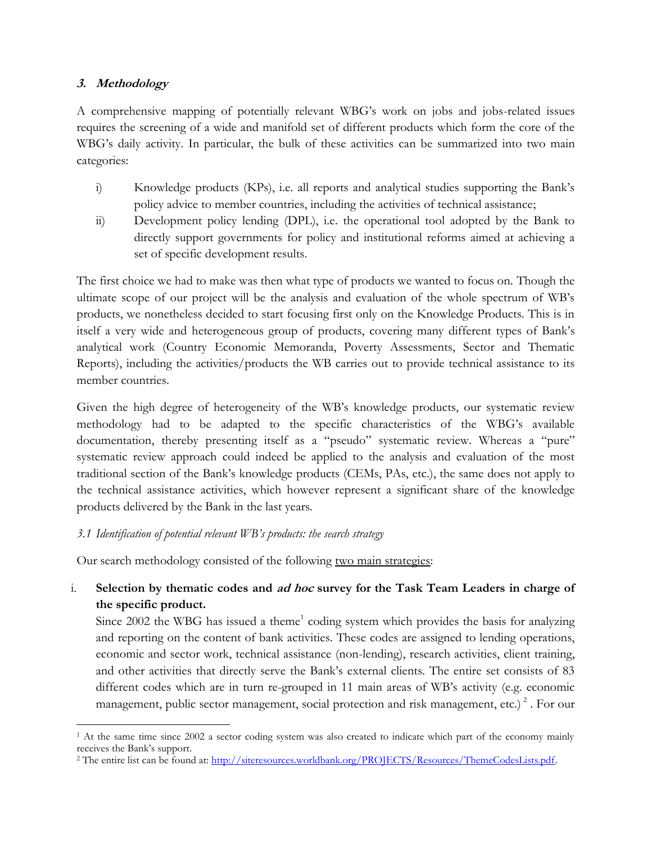## **3. Methodology**

l

A comprehensive mapping of potentially relevant WBG's work on jobs and jobs-related issues requires the screening of a wide and manifold set of different products which form the core of the WBG's daily activity. In particular, the bulk of these activities can be summarized into two main categories:

- i) Knowledge products (KPs), i.e. all reports and analytical studies supporting the Bank's policy advice to member countries, including the activities of technical assistance;
- ii) Development policy lending (DPL), i.e. the operational tool adopted by the Bank to directly support governments for policy and institutional reforms aimed at achieving a set of specific development results.

The first choice we had to make was then what type of products we wanted to focus on. Though the ultimate scope of our project will be the analysis and evaluation of the whole spectrum of WB's products, we nonetheless decided to start focusing first only on the Knowledge Products. This is in itself a very wide and heterogeneous group of products, covering many different types of Bank's analytical work (Country Economic Memoranda, Poverty Assessments, Sector and Thematic Reports), including the activities/products the WB carries out to provide technical assistance to its member countries.

Given the high degree of heterogeneity of the WB's knowledge products, our systematic review methodology had to be adapted to the specific characteristics of the WBG's available documentation, thereby presenting itself as a "pseudo" systematic review. Whereas a "pure" systematic review approach could indeed be applied to the analysis and evaluation of the most traditional section of the Bank's knowledge products (CEMs, PAs, etc.), the same does not apply to the technical assistance activities, which however represent a significant share of the knowledge products delivered by the Bank in the last years.

*3.1 Identification of potential relevant WB's products: the search strategy*

Our search methodology consisted of the following two main strategies:

# i. **Selection by thematic codes and ad hoc survey for the Task Team Leaders in charge of the specific product.**

Since 2002 the WBG has issued a theme<sup>1</sup> coding system which provides the basis for analyzing and reporting on the content of bank activities. These codes are assigned to lending operations, economic and sector work, technical assistance (non-lending), research activities, client training, and other activities that directly serve the Bank's external clients. The entire set consists of 83 different codes which are in turn re-grouped in 11 main areas of WB's activity (e.g. economic management, public sector management, social protection and risk management, etc.)<sup>2</sup>. For our

<sup>&</sup>lt;sup>1</sup> At the same time since 2002 a sector coding system was also created to indicate which part of the economy mainly receives the Bank's support.

<sup>&</sup>lt;sup>2</sup> The entire list can be found at[: http://siteresources.worldbank.org/PROJECTS/Resources/ThemeCodesLists.pdf.](http://siteresources.worldbank.org/PROJECTS/Resources/ThemeCodesLists.pdf)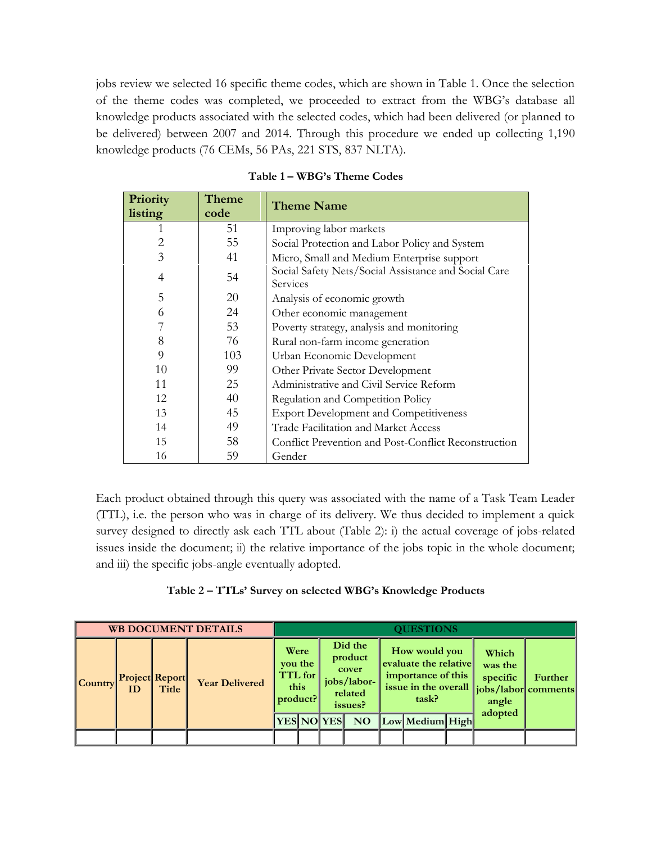jobs review we selected 16 specific theme codes, which are shown in Table 1. Once the selection of the theme codes was completed, we proceeded to extract from the WBG's database all knowledge products associated with the selected codes, which had been delivered (or planned to be delivered) between 2007 and 2014. Through this procedure we ended up collecting 1,190 knowledge products (76 CEMs, 56 PAs, 221 STS, 837 NLTA).

| Priority<br>listing | Theme<br>code | <b>Theme Name</b>                                                |
|---------------------|---------------|------------------------------------------------------------------|
| 1                   | 51            | Improving labor markets                                          |
| $\overline{2}$      | 55            | Social Protection and Labor Policy and System                    |
| 3                   | 41            | Micro, Small and Medium Enterprise support                       |
| 4                   | 54            | Social Safety Nets/Social Assistance and Social Care<br>Services |
| 5                   | 20            | Analysis of economic growth                                      |
| 6                   | 24            | Other economic management                                        |
| 7                   | 53            | Poverty strategy, analysis and monitoring                        |
| 8                   | 76            | Rural non-farm income generation                                 |
| 9                   | 103           | Urban Economic Development                                       |
| 10                  | 99            | Other Private Sector Development                                 |
| 11                  | 25            | Administrative and Civil Service Reform                          |
| 12                  | 40            | Regulation and Competition Policy                                |
| 13                  | 45            | <b>Export Development and Competitiveness</b>                    |
| 14                  | 49            | Trade Facilitation and Market Access                             |
| 15                  | 58            | Conflict Prevention and Post-Conflict Reconstruction             |
| 16                  | 59            | Gender                                                           |

| Table 1 – WBG's Theme Codes |
|-----------------------------|
|-----------------------------|

Each product obtained through this query was associated with the name of a Task Team Leader (TTL), i.e. the person who was in charge of its delivery. We thus decided to implement a quick survey designed to directly ask each TTL about (Table 2): i) the actual coverage of jobs-related issues inside the document; ii) the relative importance of the jobs topic in the whole document; and iii) the specific jobs-angle eventually adopted.

| Table 2 - TTLs' Survey on selected WBG's Knowledge Products |  |  |  |
|-------------------------------------------------------------|--|--|--|
|                                                             |  |  |  |

| <b>WB DOCUMENT DETAILS</b> |    |                                                         |                  |                                   | <b>QUESTIONS</b> |                                                                  |                |                                                                       |                 |                                       |                                                      |  |  |
|----------------------------|----|---------------------------------------------------------|------------------|-----------------------------------|------------------|------------------------------------------------------------------|----------------|-----------------------------------------------------------------------|-----------------|---------------------------------------|------------------------------------------------------|--|--|
| <b>Country</b>             | ID | <b>Project Report</b><br><b>Year Delivered</b><br>Title | this<br>product? | Were<br>you the<br><b>TTL</b> for |                  | Did the<br>product<br>cover<br>jobs/labor-<br>related<br>issues? |                | How would you<br>evaluate the relative<br>importance of this<br>task? |                 | Which<br>was the<br>specific<br>angle | Further<br>issue in the overall  jobs/labor comments |  |  |
|                            |    |                                                         |                  |                                   |                  | <b>YES NO YES</b>                                                | N <sub>O</sub> |                                                                       | Low Medium High |                                       | adopted                                              |  |  |
|                            |    |                                                         |                  |                                   |                  |                                                                  |                |                                                                       |                 |                                       |                                                      |  |  |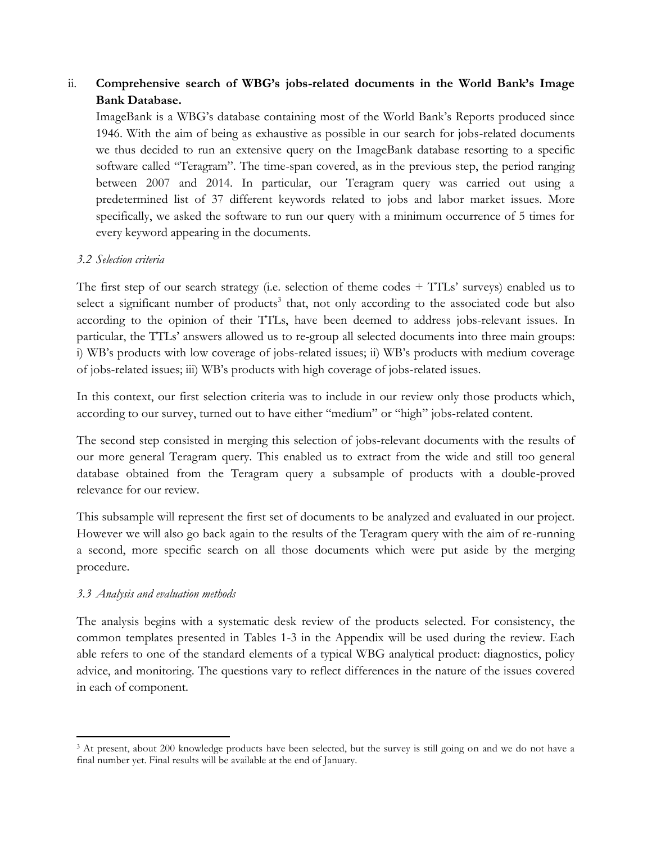# ii. **Comprehensive search of WBG's jobs-related documents in the World Bank's Image Bank Database.**

ImageBank is a WBG's database containing most of the World Bank's Reports produced since 1946. With the aim of being as exhaustive as possible in our search for jobs-related documents we thus decided to run an extensive query on the ImageBank database resorting to a specific software called "Teragram". The time-span covered, as in the previous step, the period ranging between 2007 and 2014. In particular, our Teragram query was carried out using a predetermined list of 37 different keywords related to jobs and labor market issues. More specifically, we asked the software to run our query with a minimum occurrence of 5 times for every keyword appearing in the documents.

## *3.2 Selection criteria*

The first step of our search strategy (i.e. selection of theme codes + TTLs' surveys) enabled us to select a significant number of products<sup>3</sup> that, not only according to the associated code but also according to the opinion of their TTLs, have been deemed to address jobs-relevant issues. In particular, the TTLs' answers allowed us to re-group all selected documents into three main groups: i) WB's products with low coverage of jobs-related issues; ii) WB's products with medium coverage of jobs-related issues; iii) WB's products with high coverage of jobs-related issues.

In this context, our first selection criteria was to include in our review only those products which, according to our survey, turned out to have either "medium" or "high" jobs-related content.

The second step consisted in merging this selection of jobs-relevant documents with the results of our more general Teragram query. This enabled us to extract from the wide and still too general database obtained from the Teragram query a subsample of products with a double-proved relevance for our review.

This subsample will represent the first set of documents to be analyzed and evaluated in our project. However we will also go back again to the results of the Teragram query with the aim of re-running a second, more specific search on all those documents which were put aside by the merging procedure.

## *3.3 Analysis and evaluation methods*

 $\overline{\phantom{a}}$ 

The analysis begins with a systematic desk review of the products selected. For consistency, the common templates presented in Tables 1-3 in the Appendix will be used during the review. Each able refers to one of the standard elements of a typical WBG analytical product: diagnostics, policy advice, and monitoring. The questions vary to reflect differences in the nature of the issues covered in each of component.

<sup>&</sup>lt;sup>3</sup> At present, about 200 knowledge products have been selected, but the survey is still going on and we do not have a final number yet. Final results will be available at the end of January.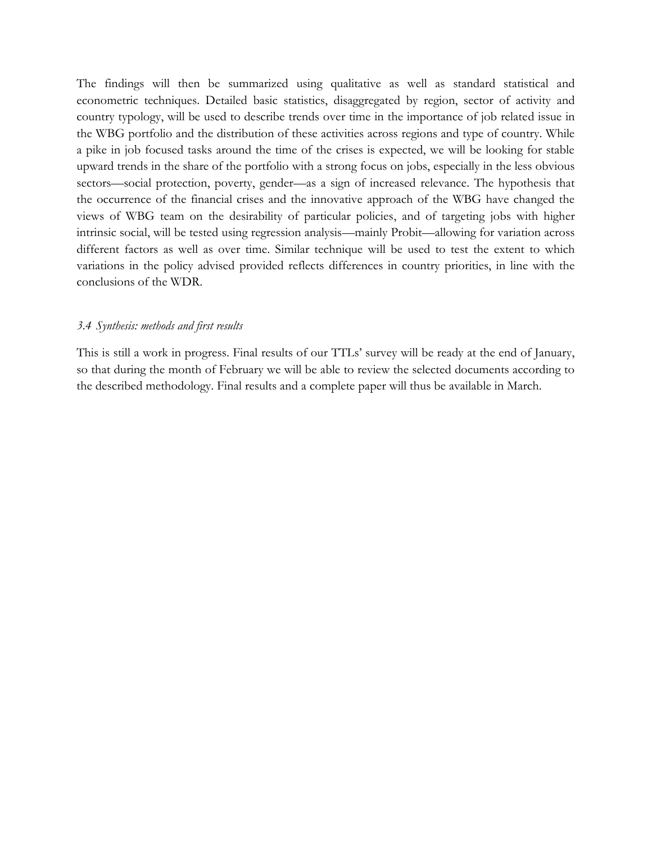The findings will then be summarized using qualitative as well as standard statistical and econometric techniques. Detailed basic statistics, disaggregated by region, sector of activity and country typology, will be used to describe trends over time in the importance of job related issue in the WBG portfolio and the distribution of these activities across regions and type of country. While a pike in job focused tasks around the time of the crises is expected, we will be looking for stable upward trends in the share of the portfolio with a strong focus on jobs, especially in the less obvious sectors—social protection, poverty, gender—as a sign of increased relevance. The hypothesis that the occurrence of the financial crises and the innovative approach of the WBG have changed the views of WBG team on the desirability of particular policies, and of targeting jobs with higher intrinsic social, will be tested using regression analysis—mainly Probit—allowing for variation across different factors as well as over time. Similar technique will be used to test the extent to which variations in the policy advised provided reflects differences in country priorities, in line with the conclusions of the WDR.

#### *3.4 Synthesis: methods and first results*

This is still a work in progress. Final results of our TTLs' survey will be ready at the end of January, so that during the month of February we will be able to review the selected documents according to the described methodology. Final results and a complete paper will thus be available in March.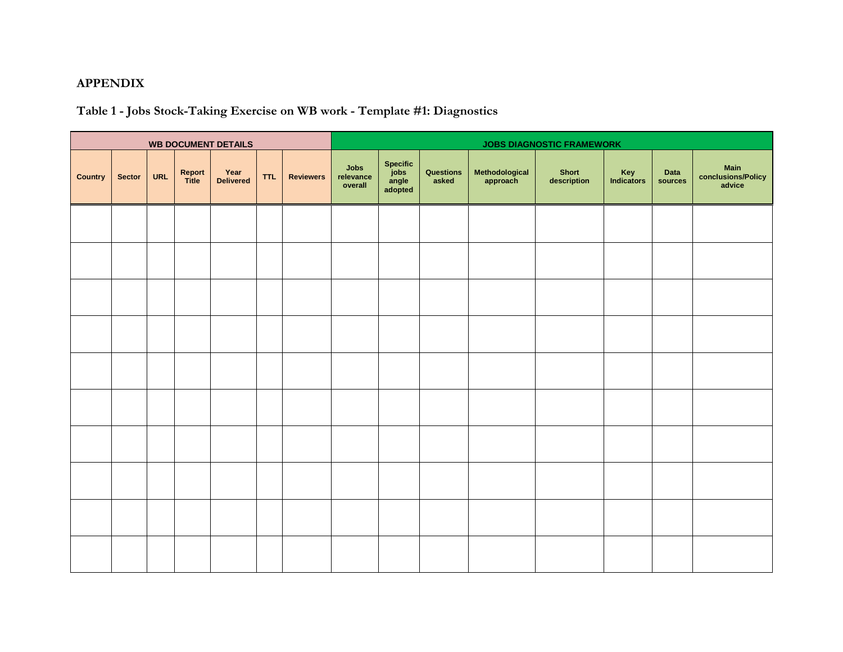# **APPENDIX**

# **Table 1 - Jobs Stock-Taking Exercise on WB work - Template #1: Diagnostics**

| <b>WB DOCUMENT DETAILS</b> |               |            |                 |                   |            |                  | <b>JOBS DIAGNOSTIC FRAMEWORK</b> |                                      |                    |                            |                      |                          |                 |                                      |  |
|----------------------------|---------------|------------|-----------------|-------------------|------------|------------------|----------------------------------|--------------------------------------|--------------------|----------------------------|----------------------|--------------------------|-----------------|--------------------------------------|--|
| <b>Country</b>             | <b>Sector</b> | <b>URL</b> | Report<br>Title | Year<br>Delivered | <b>TTL</b> | <b>Reviewers</b> | Jobs<br>relevance<br>overall     | Specific<br>jobs<br>angle<br>adopted | Questions<br>asked | Methodological<br>approach | Short<br>description | Key<br><b>Indicators</b> | Data<br>sources | Main<br>conclusions/Policy<br>advice |  |
|                            |               |            |                 |                   |            |                  |                                  |                                      |                    |                            |                      |                          |                 |                                      |  |
|                            |               |            |                 |                   |            |                  |                                  |                                      |                    |                            |                      |                          |                 |                                      |  |
|                            |               |            |                 |                   |            |                  |                                  |                                      |                    |                            |                      |                          |                 |                                      |  |
|                            |               |            |                 |                   |            |                  |                                  |                                      |                    |                            |                      |                          |                 |                                      |  |
|                            |               |            |                 |                   |            |                  |                                  |                                      |                    |                            |                      |                          |                 |                                      |  |
|                            |               |            |                 |                   |            |                  |                                  |                                      |                    |                            |                      |                          |                 |                                      |  |
|                            |               |            |                 |                   |            |                  |                                  |                                      |                    |                            |                      |                          |                 |                                      |  |
|                            |               |            |                 |                   |            |                  |                                  |                                      |                    |                            |                      |                          |                 |                                      |  |
|                            |               |            |                 |                   |            |                  |                                  |                                      |                    |                            |                      |                          |                 |                                      |  |
|                            |               |            |                 |                   |            |                  |                                  |                                      |                    |                            |                      |                          |                 |                                      |  |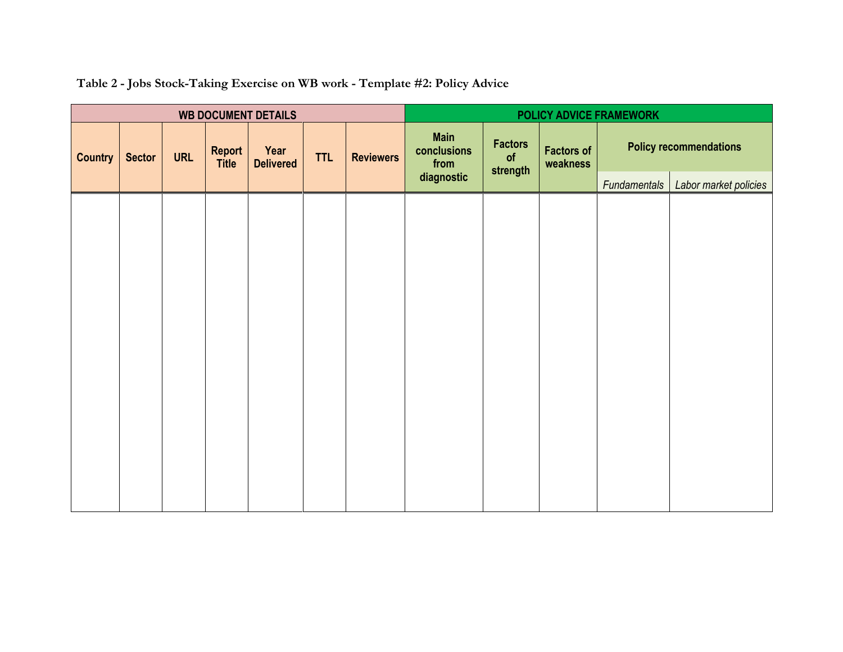|                |               |            |                        | <b>WB DOCUMENT DETAILS</b> |            |                  | POLICY ADVICE FRAMEWORK            |                                  |                               |                               |                       |  |  |
|----------------|---------------|------------|------------------------|----------------------------|------------|------------------|------------------------------------|----------------------------------|-------------------------------|-------------------------------|-----------------------|--|--|
| <b>Country</b> | <b>Sector</b> | <b>URL</b> | Report<br><b>Title</b> | Year<br><b>Delivered</b>   | <b>TTL</b> | <b>Reviewers</b> | <b>Main</b><br>conclusions<br>from | <b>Factors</b><br>of<br>strength | <b>Factors of</b><br>weakness | <b>Policy recommendations</b> |                       |  |  |
|                |               |            |                        |                            |            |                  | diagnostic                         |                                  |                               | Fundamentals                  | Labor market policies |  |  |
|                |               |            |                        |                            |            |                  |                                    |                                  |                               |                               |                       |  |  |
|                |               |            |                        |                            |            |                  |                                    |                                  |                               |                               |                       |  |  |
|                |               |            |                        |                            |            |                  |                                    |                                  |                               |                               |                       |  |  |
|                |               |            |                        |                            |            |                  |                                    |                                  |                               |                               |                       |  |  |
|                |               |            |                        |                            |            |                  |                                    |                                  |                               |                               |                       |  |  |
|                |               |            |                        |                            |            |                  |                                    |                                  |                               |                               |                       |  |  |
|                |               |            |                        |                            |            |                  |                                    |                                  |                               |                               |                       |  |  |
|                |               |            |                        |                            |            |                  |                                    |                                  |                               |                               |                       |  |  |
|                |               |            |                        |                            |            |                  |                                    |                                  |                               |                               |                       |  |  |
|                |               |            |                        |                            |            |                  |                                    |                                  |                               |                               |                       |  |  |
|                |               |            |                        |                            |            |                  |                                    |                                  |                               |                               |                       |  |  |
|                |               |            |                        |                            |            |                  |                                    |                                  |                               |                               |                       |  |  |
|                |               |            |                        |                            |            |                  |                                    |                                  |                               |                               |                       |  |  |
|                |               |            |                        |                            |            |                  |                                    |                                  |                               |                               |                       |  |  |
|                |               |            |                        |                            |            |                  |                                    |                                  |                               |                               |                       |  |  |

**Table 2 - Jobs Stock-Taking Exercise on WB work - Template #2: Policy Advice**